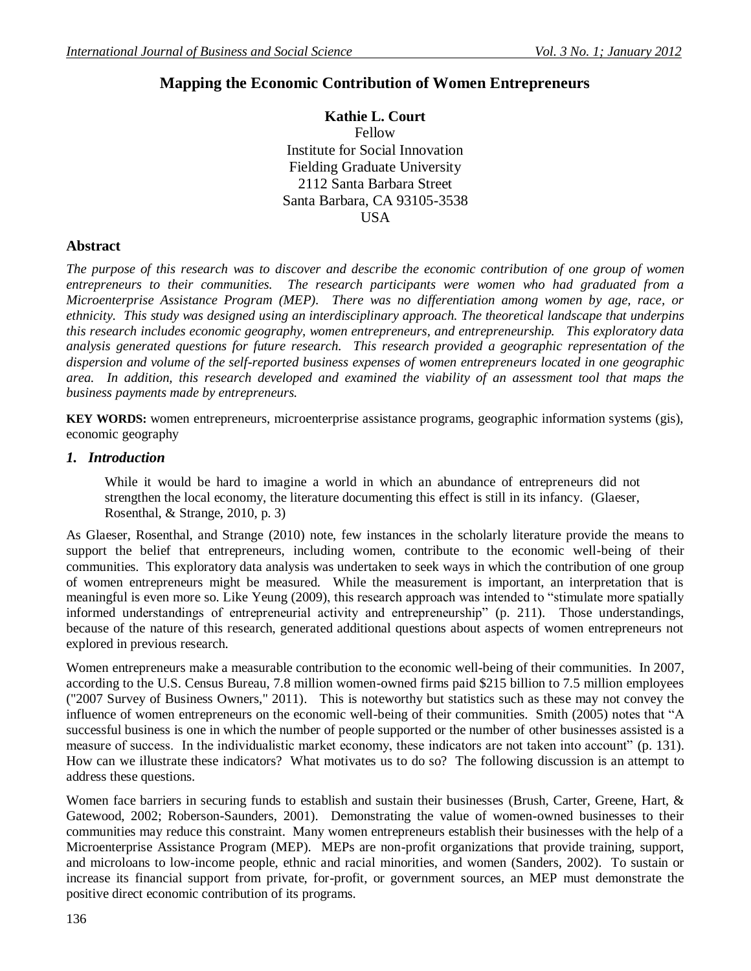# **Mapping the Economic Contribution of Women Entrepreneurs**

**Kathie L. Court** Fellow Institute for Social Innovation Fielding Graduate University 2112 Santa Barbara Street Santa Barbara, CA 93105-3538 USA

### **Abstract**

*The purpose of this research was to discover and describe the economic contribution of one group of women entrepreneurs to their communities. The research participants were women who had graduated from a Microenterprise Assistance Program (MEP). There was no differentiation among women by age, race, or ethnicity. This study was designed using an interdisciplinary approach. The theoretical landscape that underpins this research includes economic geography, women entrepreneurs, and entrepreneurship. This exploratory data analysis generated questions for future research. This research provided a geographic representation of the dispersion and volume of the self-reported business expenses of women entrepreneurs located in one geographic area. In addition, this research developed and examined the viability of an assessment tool that maps the business payments made by entrepreneurs.*

**KEY WORDS:** women entrepreneurs, microenterprise assistance programs, geographic information systems (gis), economic geography

### *1. Introduction*

While it would be hard to imagine a world in which an abundance of entrepreneurs did not strengthen the local economy, the literature documenting this effect is still in its infancy. (Glaeser, Rosenthal, & Strange, 2010, p. 3)

As Glaeser, Rosenthal, and Strange (2010) note, few instances in the scholarly literature provide the means to support the belief that entrepreneurs, including women, contribute to the economic well-being of their communities. This exploratory data analysis was undertaken to seek ways in which the contribution of one group of women entrepreneurs might be measured. While the measurement is important, an interpretation that is meaningful is even more so. Like Yeung (2009), this research approach was intended to "stimulate more spatially informed understandings of entrepreneurial activity and entrepreneurship" (p. 211). Those understandings, because of the nature of this research, generated additional questions about aspects of women entrepreneurs not explored in previous research.

Women entrepreneurs make a measurable contribution to the economic well-being of their communities. In 2007, according to the U.S. Census Bureau, 7.8 million women-owned firms paid \$215 billion to 7.5 million employees ("2007 Survey of Business Owners," 2011). This is noteworthy but statistics such as these may not convey the influence of women entrepreneurs on the economic well-being of their communities. Smith (2005) notes that "A successful business is one in which the number of people supported or the number of other businesses assisted is a measure of success. In the individualistic market economy, these indicators are not taken into account" (p. 131). How can we illustrate these indicators? What motivates us to do so? The following discussion is an attempt to address these questions.

Women face barriers in securing funds to establish and sustain their businesses (Brush, Carter, Greene, Hart, & Gatewood, 2002; Roberson-Saunders, 2001). Demonstrating the value of women-owned businesses to their communities may reduce this constraint. Many women entrepreneurs establish their businesses with the help of a Microenterprise Assistance Program (MEP). MEPs are non-profit organizations that provide training, support, and microloans to low-income people, ethnic and racial minorities, and women (Sanders, 2002). To sustain or increase its financial support from private, for-profit, or government sources, an MEP must demonstrate the positive direct economic contribution of its programs.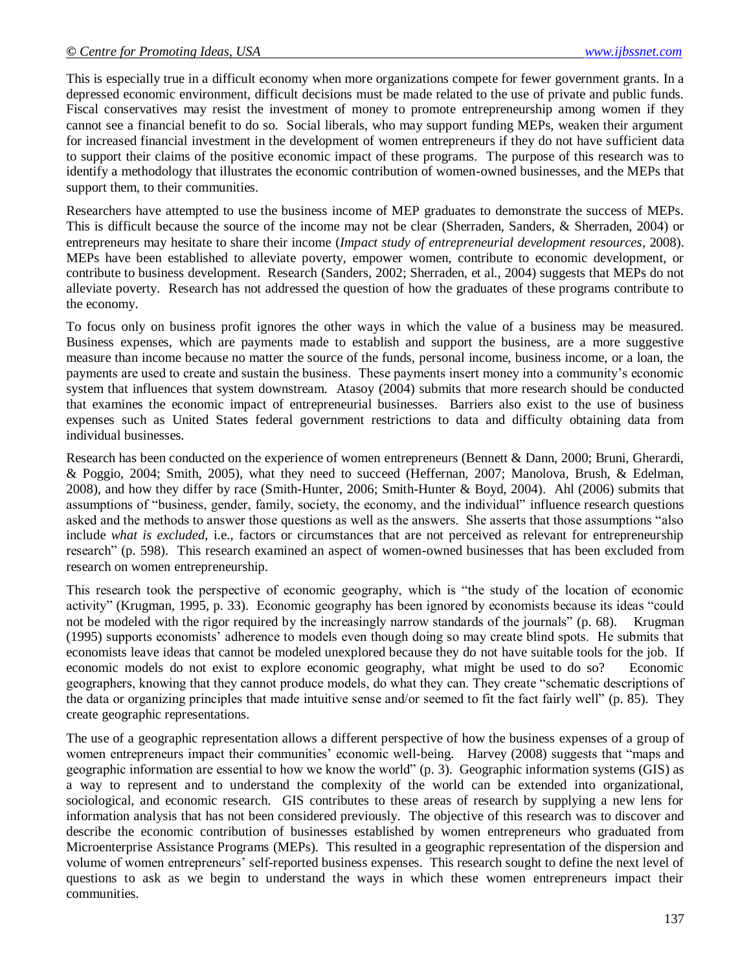This is especially true in a difficult economy when more organizations compete for fewer government grants. In a depressed economic environment, difficult decisions must be made related to the use of private and public funds. Fiscal conservatives may resist the investment of money to promote entrepreneurship among women if they cannot see a financial benefit to do so. Social liberals, who may support funding MEPs, weaken their argument for increased financial investment in the development of women entrepreneurs if they do not have sufficient data to support their claims of the positive economic impact of these programs. The purpose of this research was to identify a methodology that illustrates the economic contribution of women-owned businesses, and the MEPs that support them, to their communities.

Researchers have attempted to use the business income of MEP graduates to demonstrate the success of MEPs. This is difficult because the source of the income may not be clear (Sherraden, Sanders, & Sherraden, 2004) or entrepreneurs may hesitate to share their income (*Impact study of entrepreneurial development resources*, 2008). MEPs have been established to alleviate poverty, empower women, contribute to economic development, or contribute to business development. Research (Sanders, 2002; Sherraden, et al., 2004) suggests that MEPs do not alleviate poverty. Research has not addressed the question of how the graduates of these programs contribute to the economy.

To focus only on business profit ignores the other ways in which the value of a business may be measured. Business expenses, which are payments made to establish and support the business, are a more suggestive measure than income because no matter the source of the funds, personal income, business income, or a loan, the payments are used to create and sustain the business. These payments insert money into a community's economic system that influences that system downstream. Atasoy (2004) submits that more research should be conducted that examines the economic impact of entrepreneurial businesses. Barriers also exist to the use of business expenses such as United States federal government restrictions to data and difficulty obtaining data from individual businesses.

Research has been conducted on the experience of women entrepreneurs (Bennett & Dann, 2000; Bruni, Gherardi, & Poggio, 2004; Smith, 2005), what they need to succeed (Heffernan, 2007; Manolova, Brush, & Edelman, 2008), and how they differ by race (Smith-Hunter, 2006; Smith-Hunter & Boyd, 2004). Ahl (2006) submits that assumptions of "business, gender, family, society, the economy, and the individual" influence research questions asked and the methods to answer those questions as well as the answers. She asserts that those assumptions "also include *what is excluded*, i.e., factors or circumstances that are not perceived as relevant for entrepreneurship research" (p. 598). This research examined an aspect of women-owned businesses that has been excluded from research on women entrepreneurship.

This research took the perspective of economic geography, which is "the study of the location of economic activity" (Krugman, 1995, p. 33). Economic geography has been ignored by economists because its ideas "could not be modeled with the rigor required by the increasingly narrow standards of the journals" (p. 68). Krugman (1995) supports economists' adherence to models even though doing so may create blind spots. He submits that economists leave ideas that cannot be modeled unexplored because they do not have suitable tools for the job. If economic models do not exist to explore economic geography, what might be used to do so? Economic geographers, knowing that they cannot produce models, do what they can. They create "schematic descriptions of the data or organizing principles that made intuitive sense and/or seemed to fit the fact fairly well" (p. 85). They create geographic representations.

The use of a geographic representation allows a different perspective of how the business expenses of a group of women entrepreneurs impact their communities' economic well-being.Harvey (2008) suggests that "maps and geographic information are essential to how we know the world" (p. 3). Geographic information systems (GIS) as a way to represent and to understand the complexity of the world can be extended into organizational, sociological, and economic research. GIS contributes to these areas of research by supplying a new lens for information analysis that has not been considered previously. The objective of this research was to discover and describe the economic contribution of businesses established by women entrepreneurs who graduated from Microenterprise Assistance Programs (MEPs). This resulted in a geographic representation of the dispersion and volume of women entrepreneurs' self-reported business expenses. This research sought to define the next level of questions to ask as we begin to understand the ways in which these women entrepreneurs impact their communities.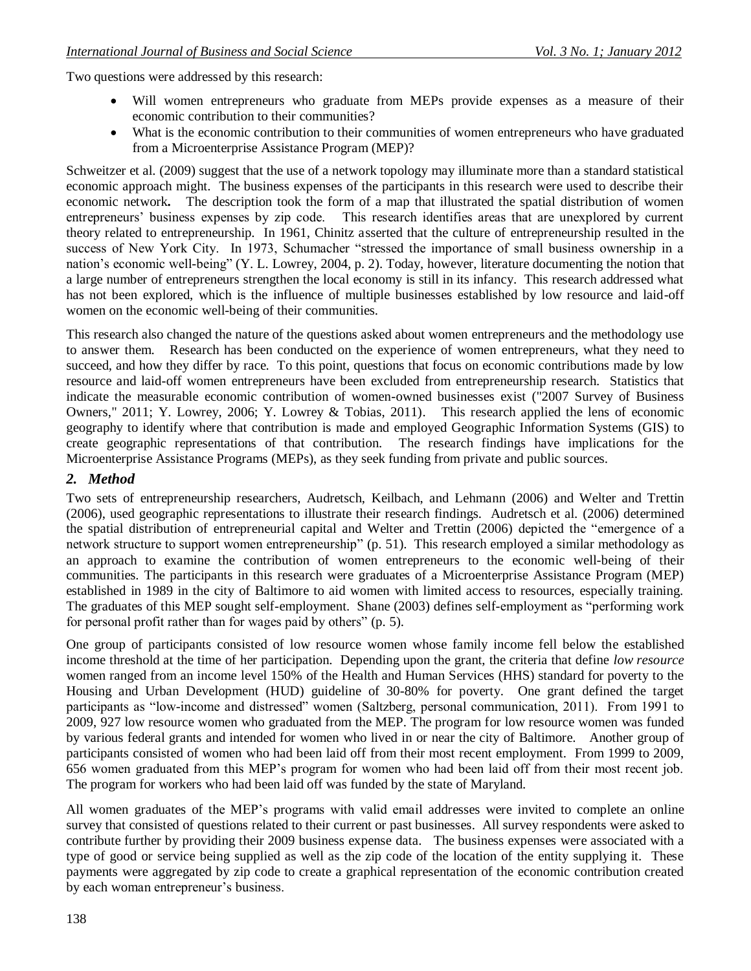Two questions were addressed by this research:

- Will women entrepreneurs who graduate from MEPs provide expenses as a measure of their economic contribution to their communities?
- What is the economic contribution to their communities of women entrepreneurs who have graduated from a Microenterprise Assistance Program (MEP)?

Schweitzer et al. (2009) suggest that the use of a network topology may illuminate more than a standard statistical economic approach might. The business expenses of the participants in this research were used to describe their economic network**.** The description took the form of a map that illustrated the spatial distribution of women entrepreneurs' business expenses by zip code. This research identifies areas that are unexplored by current theory related to entrepreneurship. In 1961, Chinitz asserted that the culture of entrepreneurship resulted in the success of New York City. In 1973, Schumacher "stressed the importance of small business ownership in a nation's economic well-being" (Y. L. Lowrey, 2004, p. 2). Today, however, literature documenting the notion that a large number of entrepreneurs strengthen the local economy is still in its infancy. This research addressed what has not been explored, which is the influence of multiple businesses established by low resource and laid-off women on the economic well-being of their communities.

This research also changed the nature of the questions asked about women entrepreneurs and the methodology use to answer them. Research has been conducted on the experience of women entrepreneurs, what they need to succeed, and how they differ by race. To this point, questions that focus on economic contributions made by low resource and laid-off women entrepreneurs have been excluded from entrepreneurship research. Statistics that indicate the measurable economic contribution of women-owned businesses exist ("2007 Survey of Business Owners," 2011; Y. Lowrey, 2006; Y. Lowrey & Tobias, 2011). This research applied the lens of economic geography to identify where that contribution is made and employed Geographic Information Systems (GIS) to create geographic representations of that contribution. The research findings have implications for the Microenterprise Assistance Programs (MEPs), as they seek funding from private and public sources.

## *2. Method*

Two sets of entrepreneurship researchers, Audretsch, Keilbach, and Lehmann (2006) and Welter and Trettin (2006), used geographic representations to illustrate their research findings. Audretsch et al. (2006) determined the spatial distribution of entrepreneurial capital and Welter and Trettin (2006) depicted the "emergence of a network structure to support women entrepreneurship" (p. 51). This research employed a similar methodology as an approach to examine the contribution of women entrepreneurs to the economic well-being of their communities. The participants in this research were graduates of a Microenterprise Assistance Program (MEP) established in 1989 in the city of Baltimore to aid women with limited access to resources, especially training. The graduates of this MEP sought self-employment. Shane (2003) defines self-employment as "performing work for personal profit rather than for wages paid by others" (p. 5).

One group of participants consisted of low resource women whose family income fell below the established income threshold at the time of her participation. Depending upon the grant, the criteria that define *low resource* women ranged from an income level 150% of the Health and Human Services (HHS) standard for poverty to the Housing and Urban Development (HUD) guideline of 30-80% for poverty. One grant defined the target participants as "low-income and distressed" women (Saltzberg, personal communication, 2011). From 1991 to 2009, 927 low resource women who graduated from the MEP. The program for low resource women was funded by various federal grants and intended for women who lived in or near the city of Baltimore. Another group of participants consisted of women who had been laid off from their most recent employment. From 1999 to 2009, 656 women graduated from this MEP's program for women who had been laid off from their most recent job. The program for workers who had been laid off was funded by the state of Maryland.

All women graduates of the MEP's programs with valid email addresses were invited to complete an online survey that consisted of questions related to their current or past businesses. All survey respondents were asked to contribute further by providing their 2009 business expense data. The business expenses were associated with a type of good or service being supplied as well as the zip code of the location of the entity supplying it. These payments were aggregated by zip code to create a graphical representation of the economic contribution created by each woman entrepreneur's business.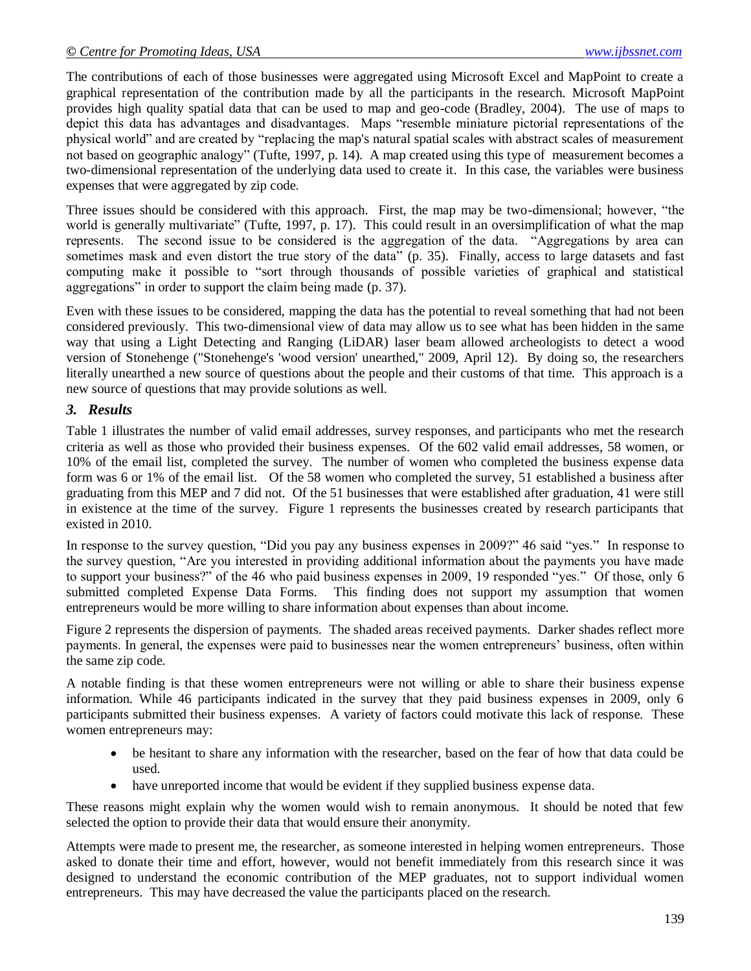The contributions of each of those businesses were aggregated using Microsoft Excel and MapPoint to create a graphical representation of the contribution made by all the participants in the research. Microsoft MapPoint provides high quality spatial data that can be used to map and geo-code (Bradley, 2004). The use of maps to depict this data has advantages and disadvantages. Maps "resemble miniature pictorial representations of the physical world" and are created by "replacing the map's natural spatial scales with abstract scales of measurement not based on geographic analogy" (Tufte, 1997, p. 14). A map created using this type of measurement becomes a two-dimensional representation of the underlying data used to create it. In this case, the variables were business expenses that were aggregated by zip code.

Three issues should be considered with this approach. First, the map may be two-dimensional; however, "the world is generally multivariate" (Tufte, 1997, p. 17). This could result in an oversimplification of what the map represents. The second issue to be considered is the aggregation of the data. "Aggregations by area can sometimes mask and even distort the true story of the data" (p. 35). Finally, access to large datasets and fast computing make it possible to "sort through thousands of possible varieties of graphical and statistical aggregations" in order to support the claim being made (p. 37).

Even with these issues to be considered, mapping the data has the potential to reveal something that had not been considered previously. This two-dimensional view of data may allow us to see what has been hidden in the same way that using a Light Detecting and Ranging (LiDAR) laser beam allowed archeologists to detect a wood version of Stonehenge ("Stonehenge's 'wood version' unearthed," 2009, April 12). By doing so, the researchers literally unearthed a new source of questions about the people and their customs of that time. This approach is a new source of questions that may provide solutions as well.

### *3. Results*

Table 1 illustrates the number of valid email addresses, survey responses, and participants who met the research criteria as well as those who provided their business expenses. Of the 602 valid email addresses, 58 women, or 10% of the email list, completed the survey. The number of women who completed the business expense data form was 6 or 1% of the email list. Of the 58 women who completed the survey, 51 established a business after graduating from this MEP and 7 did not. Of the 51 businesses that were established after graduation, 41 were still in existence at the time of the survey. Figure 1 represents the businesses created by research participants that existed in 2010.

In response to the survey question, "Did you pay any business expenses in 2009?" 46 said "yes." In response to the survey question, "Are you interested in providing additional information about the payments you have made to support your business?" of the 46 who paid business expenses in 2009, 19 responded "yes." Of those, only 6 submitted completed Expense Data Forms. This finding does not support my assumption that women entrepreneurs would be more willing to share information about expenses than about income.

Figure 2 represents the dispersion of payments. The shaded areas received payments. Darker shades reflect more payments. In general, the expenses were paid to businesses near the women entrepreneurs' business, often within the same zip code.

A notable finding is that these women entrepreneurs were not willing or able to share their business expense information. While 46 participants indicated in the survey that they paid business expenses in 2009, only 6 participants submitted their business expenses. A variety of factors could motivate this lack of response. These women entrepreneurs may:

- be hesitant to share any information with the researcher, based on the fear of how that data could be used.
- have unreported income that would be evident if they supplied business expense data.

These reasons might explain why the women would wish to remain anonymous. It should be noted that few selected the option to provide their data that would ensure their anonymity.

Attempts were made to present me, the researcher, as someone interested in helping women entrepreneurs. Those asked to donate their time and effort, however, would not benefit immediately from this research since it was designed to understand the economic contribution of the MEP graduates, not to support individual women entrepreneurs. This may have decreased the value the participants placed on the research.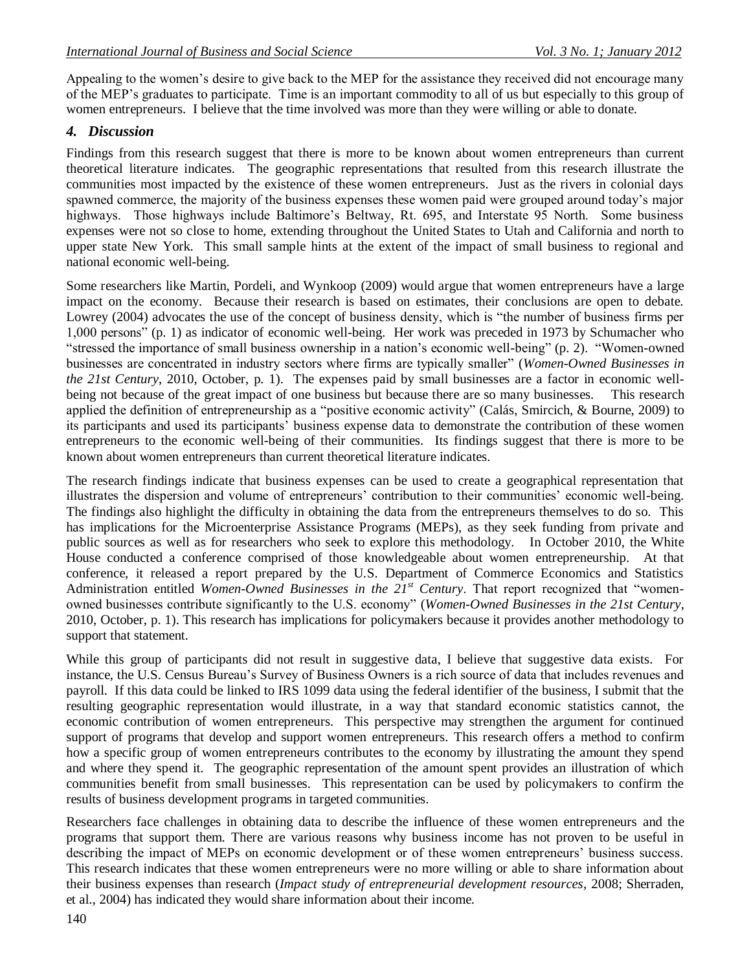Appealing to the women's desire to give back to the MEP for the assistance they received did not encourage many of the MEP's graduates to participate. Time is an important commodity to all of us but especially to this group of women entrepreneurs. I believe that the time involved was more than they were willing or able to donate.

### *4. Discussion*

Findings from this research suggest that there is more to be known about women entrepreneurs than current theoretical literature indicates. The geographic representations that resulted from this research illustrate the communities most impacted by the existence of these women entrepreneurs. Just as the rivers in colonial days spawned commerce, the majority of the business expenses these women paid were grouped around today's major highways. Those highways include Baltimore's Beltway, Rt. 695, and Interstate 95 North. Some business expenses were not so close to home, extending throughout the United States to Utah and California and north to upper state New York. This small sample hints at the extent of the impact of small business to regional and national economic well-being.

Some researchers like Martin, Pordeli, and Wynkoop (2009) would argue that women entrepreneurs have a large impact on the economy. Because their research is based on estimates, their conclusions are open to debate. Lowrey (2004) advocates the use of the concept of business density, which is "the number of business firms per 1,000 persons" (p. 1) as indicator of economic well-being. Her work was preceded in 1973 by Schumacher who "stressed the importance of small business ownership in a nation's economic well-being" (p. 2). "Women-owned businesses are concentrated in industry sectors where firms are typically smaller" (*Women-Owned Businesses in the 21st Century*, 2010, October, p. 1). The expenses paid by small businesses are a factor in economic wellbeing not because of the great impact of one business but because there are so many businesses. This research applied the definition of entrepreneurship as a "positive economic activity" (Calás, Smircich, & Bourne, 2009) to its participants and used its participants' business expense data to demonstrate the contribution of these women entrepreneurs to the economic well-being of their communities. Its findings suggest that there is more to be known about women entrepreneurs than current theoretical literature indicates.

The research findings indicate that business expenses can be used to create a geographical representation that illustrates the dispersion and volume of entrepreneurs' contribution to their communities' economic well-being. The findings also highlight the difficulty in obtaining the data from the entrepreneurs themselves to do so. This has implications for the Microenterprise Assistance Programs (MEPs), as they seek funding from private and public sources as well as for researchers who seek to explore this methodology. In October 2010, the White House conducted a conference comprised of those knowledgeable about women entrepreneurship. At that conference, it released a report prepared by the U.S. Department of Commerce Economics and Statistics Administration entitled *Women-Owned Businesses in the 21st Century*. That report recognized that "womenowned businesses contribute significantly to the U.S. economy" (*Women-Owned Businesses in the 21st Century*, 2010, October, p. 1). This research has implications for policymakers because it provides another methodology to support that statement.

While this group of participants did not result in suggestive data, I believe that suggestive data exists. For instance, the U.S. Census Bureau's Survey of Business Owners is a rich source of data that includes revenues and payroll. If this data could be linked to IRS 1099 data using the federal identifier of the business, I submit that the resulting geographic representation would illustrate, in a way that standard economic statistics cannot, the economic contribution of women entrepreneurs. This perspective may strengthen the argument for continued support of programs that develop and support women entrepreneurs. This research offers a method to confirm how a specific group of women entrepreneurs contributes to the economy by illustrating the amount they spend and where they spend it. The geographic representation of the amount spent provides an illustration of which communities benefit from small businesses. This representation can be used by policymakers to confirm the results of business development programs in targeted communities.

Researchers face challenges in obtaining data to describe the influence of these women entrepreneurs and the programs that support them. There are various reasons why business income has not proven to be useful in describing the impact of MEPs on economic development or of these women entrepreneurs' business success. This research indicates that these women entrepreneurs were no more willing or able to share information about their business expenses than research (*Impact study of entrepreneurial development resources*, 2008; Sherraden, et al., 2004) has indicated they would share information about their income.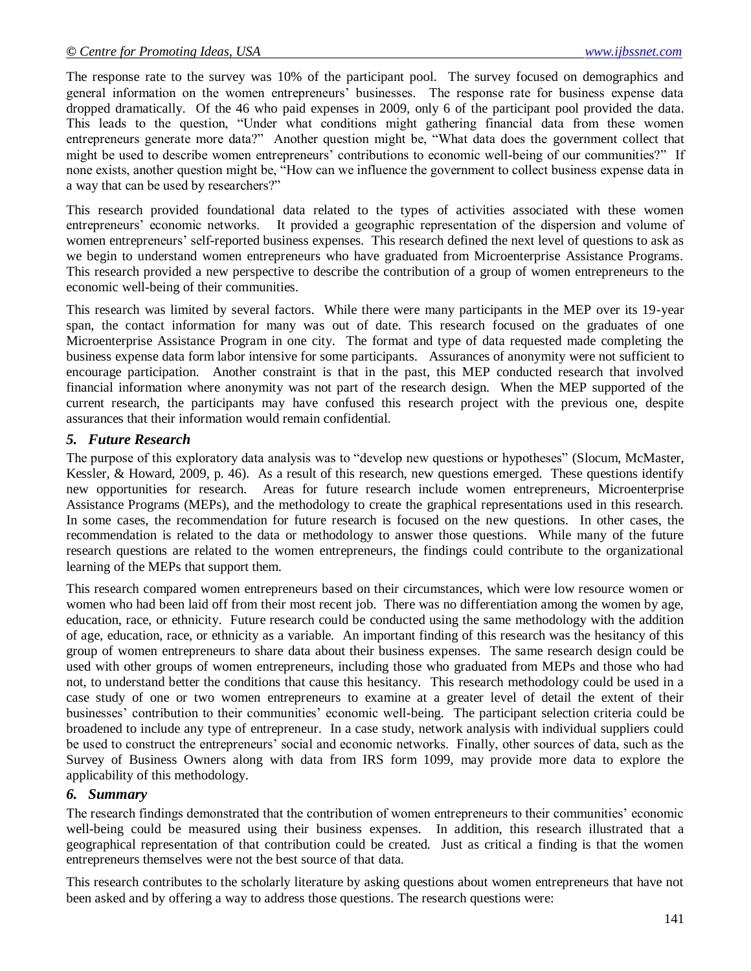The response rate to the survey was 10% of the participant pool. The survey focused on demographics and general information on the women entrepreneurs' businesses. The response rate for business expense data dropped dramatically. Of the 46 who paid expenses in 2009, only 6 of the participant pool provided the data. This leads to the question, "Under what conditions might gathering financial data from these women entrepreneurs generate more data?" Another question might be, "What data does the government collect that might be used to describe women entrepreneurs' contributions to economic well-being of our communities?" If none exists, another question might be, "How can we influence the government to collect business expense data in a way that can be used by researchers?"

This research provided foundational data related to the types of activities associated with these women entrepreneurs' economic networks. It provided a geographic representation of the dispersion and volume of women entrepreneurs' self-reported business expenses. This research defined the next level of questions to ask as we begin to understand women entrepreneurs who have graduated from Microenterprise Assistance Programs. This research provided a new perspective to describe the contribution of a group of women entrepreneurs to the economic well-being of their communities.

This research was limited by several factors. While there were many participants in the MEP over its 19-year span, the contact information for many was out of date. This research focused on the graduates of one Microenterprise Assistance Program in one city. The format and type of data requested made completing the business expense data form labor intensive for some participants.Assurances of anonymity were not sufficient to encourage participation. Another constraint is that in the past, this MEP conducted research that involved financial information where anonymity was not part of the research design. When the MEP supported of the current research, the participants may have confused this research project with the previous one, despite assurances that their information would remain confidential.

### *5. Future Research*

The purpose of this exploratory data analysis was to "develop new questions or hypotheses" (Slocum, McMaster, Kessler, & Howard, 2009, p. 46). As a result of this research, new questions emerged. These questions identify new opportunities for research. Areas for future research include women entrepreneurs, Microenterprise Assistance Programs (MEPs), and the methodology to create the graphical representations used in this research. In some cases, the recommendation for future research is focused on the new questions. In other cases, the recommendation is related to the data or methodology to answer those questions. While many of the future research questions are related to the women entrepreneurs, the findings could contribute to the organizational learning of the MEPs that support them.

This research compared women entrepreneurs based on their circumstances, which were low resource women or women who had been laid off from their most recent job. There was no differentiation among the women by age, education, race, or ethnicity. Future research could be conducted using the same methodology with the addition of age, education, race, or ethnicity as a variable. An important finding of this research was the hesitancy of this group of women entrepreneurs to share data about their business expenses. The same research design could be used with other groups of women entrepreneurs, including those who graduated from MEPs and those who had not, to understand better the conditions that cause this hesitancy. This research methodology could be used in a case study of one or two women entrepreneurs to examine at a greater level of detail the extent of their businesses' contribution to their communities' economic well-being. The participant selection criteria could be broadened to include any type of entrepreneur. In a case study, network analysis with individual suppliers could be used to construct the entrepreneurs' social and economic networks. Finally, other sources of data, such as the Survey of Business Owners along with data from IRS form 1099, may provide more data to explore the applicability of this methodology.

#### *6. Summary*

The research findings demonstrated that the contribution of women entrepreneurs to their communities' economic well-being could be measured using their business expenses. In addition, this research illustrated that a geographical representation of that contribution could be created. Just as critical a finding is that the women entrepreneurs themselves were not the best source of that data.

This research contributes to the scholarly literature by asking questions about women entrepreneurs that have not been asked and by offering a way to address those questions. The research questions were: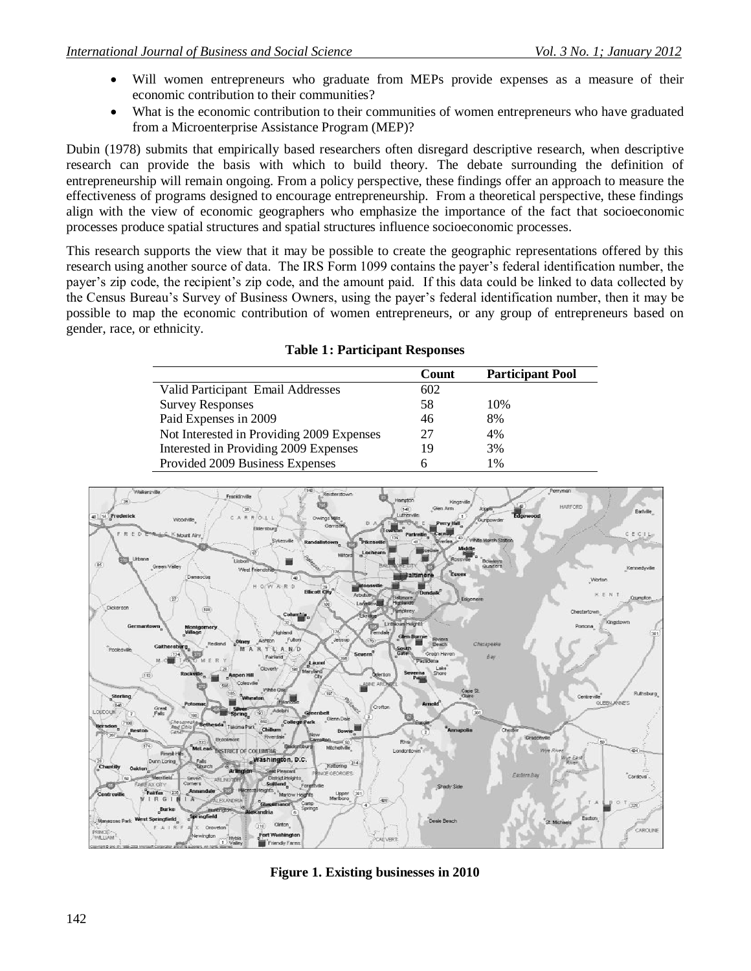- Will women entrepreneurs who graduate from MEPs provide expenses as a measure of their economic contribution to their communities?
- What is the economic contribution to their communities of women entrepreneurs who have graduated from a Microenterprise Assistance Program (MEP)?

Dubin (1978) submits that empirically based researchers often disregard descriptive research, when descriptive research can provide the basis with which to build theory. The debate surrounding the definition of entrepreneurship will remain ongoing. From a policy perspective, these findings offer an approach to measure the effectiveness of programs designed to encourage entrepreneurship. From a theoretical perspective, these findings align with the view of economic geographers who emphasize the importance of the fact that socioeconomic processes produce spatial structures and spatial structures influence socioeconomic processes.

This research supports the view that it may be possible to create the geographic representations offered by this research using another source of data. The IRS Form 1099 contains the payer's federal identification number, the payer's zip code, the recipient's zip code, and the amount paid. If this data could be linked to data collected by the Census Bureau's Survey of Business Owners, using the payer's federal identification number, then it may be possible to map the economic contribution of women entrepreneurs, or any group of entrepreneurs based on gender, race, or ethnicity.

|                                           | Count | <b>Participant Pool</b> |
|-------------------------------------------|-------|-------------------------|
| Valid Participant Email Addresses         | 602   |                         |
| <b>Survey Responses</b>                   | 58    | 10%                     |
| Paid Expenses in 2009                     | 46    | 8%                      |
| Not Interested in Providing 2009 Expenses | 27    | 4%                      |
| Interested in Providing 2009 Expenses     | 19    | 3%                      |
| Provided 2009 Business Expenses           | h     | 1%                      |
|                                           |       |                         |

### **Table 1: Participant Responses**



**Figure 1. Existing businesses in 2010**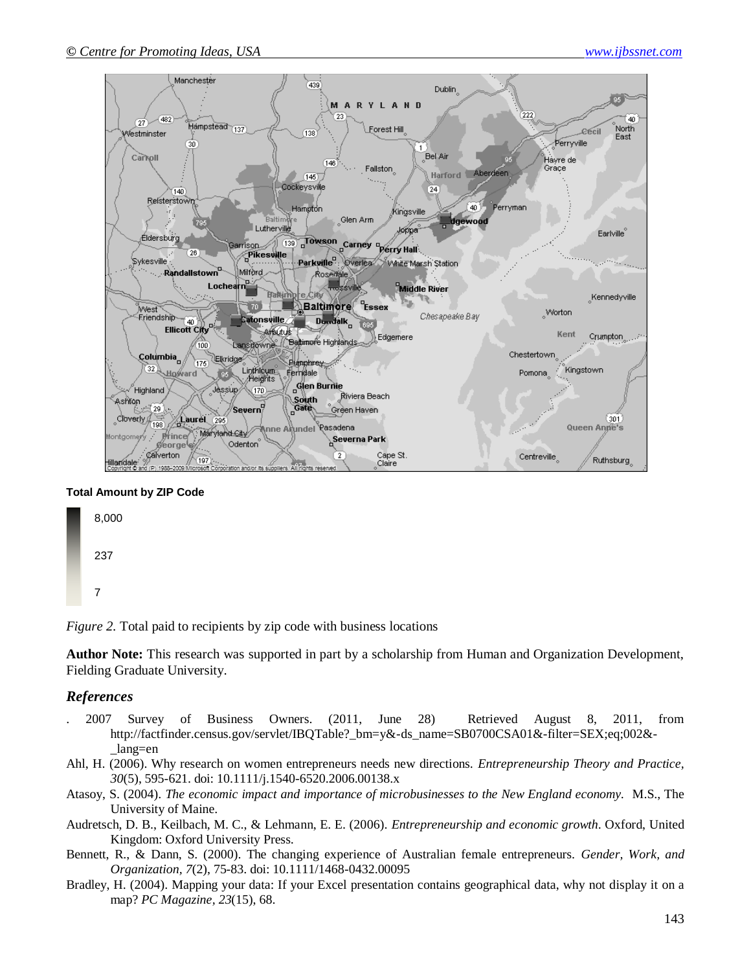

#### **Total Amount by ZIP Code**



*Figure 2.* Total paid to recipients by zip code with business locations

**Author Note:** This research was supported in part by a scholarship from Human and Organization Development, Fielding Graduate University.

#### *References*

- . 2007 Survey of Business Owners. (2011, June 28) Retrieved August 8, 2011, from http://factfinder.census.gov/servlet/IBQTable? bm=y&-ds\_name=SB0700CSA01&-filter=SEX;eq;002&-\_lang=en
- Ahl, H. (2006). Why research on women entrepreneurs needs new directions. *Entrepreneurship Theory and Practice, 30*(5), 595-621. doi: 10.1111/j.1540-6520.2006.00138.x
- Atasoy, S. (2004). *The economic impact and importance of microbusinesses to the New England economy.* M.S., The University of Maine.
- Audretsch, D. B., Keilbach, M. C., & Lehmann, E. E. (2006). *Entrepreneurship and economic growth*. Oxford, United Kingdom: Oxford University Press.
- Bennett, R., & Dann, S. (2000). The changing experience of Australian female entrepreneurs. *Gender, Work, and Organization, 7*(2), 75-83. doi: 10.1111/1468-0432.00095
- Bradley, H. (2004). Mapping your data: If your Excel presentation contains geographical data, why not display it on a map? *PC Magazine, 23*(15), 68.